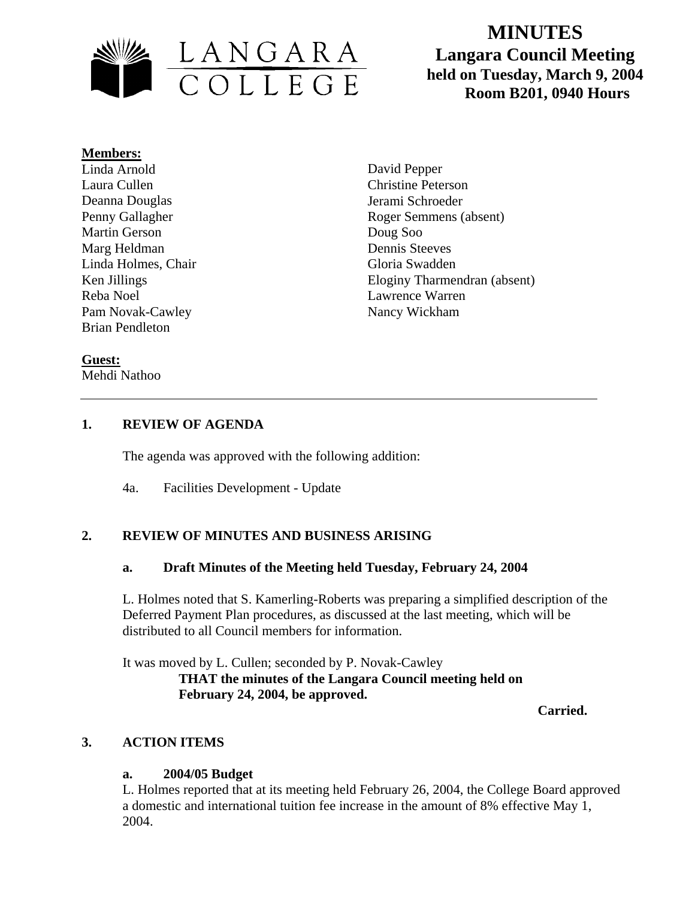

# **MINUTES Langara Council Meeting held on Tuesday, March 9, 2004**

#### **Members:**

Linda Arnold Laura Cullen Deanna Douglas Penny Gallagher Martin Gerson Marg Heldman Linda Holmes, Chair Ken Jillings Reba Noel Pam Novak-Cawley Brian Pendleton

David Pepper Christine Peterson Jerami Schroeder Roger Semmens (absent) Doug Soo Dennis Steeves Gloria Swadden Eloginy Tharmendran (absent) Lawrence Warren Nancy Wickham

## **Guest:**

Mehdi Nathoo

## **1. REVIEW OF AGENDA**

The agenda was approved with the following addition:

4a. Facilities Development - Update

## **2. REVIEW OF MINUTES AND BUSINESS ARISING**

## **a. Draft Minutes of the Meeting held Tuesday, February 24, 2004**

L. Holmes noted that S. Kamerling-Roberts was preparing a simplified description of the Deferred Payment Plan procedures, as discussed at the last meeting, which will be distributed to all Council members for information.

It was moved by L. Cullen; seconded by P. Novak-Cawley **THAT the minutes of the Langara Council meeting held on February 24, 2004, be approved.** 

 **Carried.** 

## **3. ACTION ITEMS**

## **a. 2004/05 Budget**

L. Holmes reported that at its meeting held February 26, 2004, the College Board approved a domestic and international tuition fee increase in the amount of 8% effective May 1, 2004.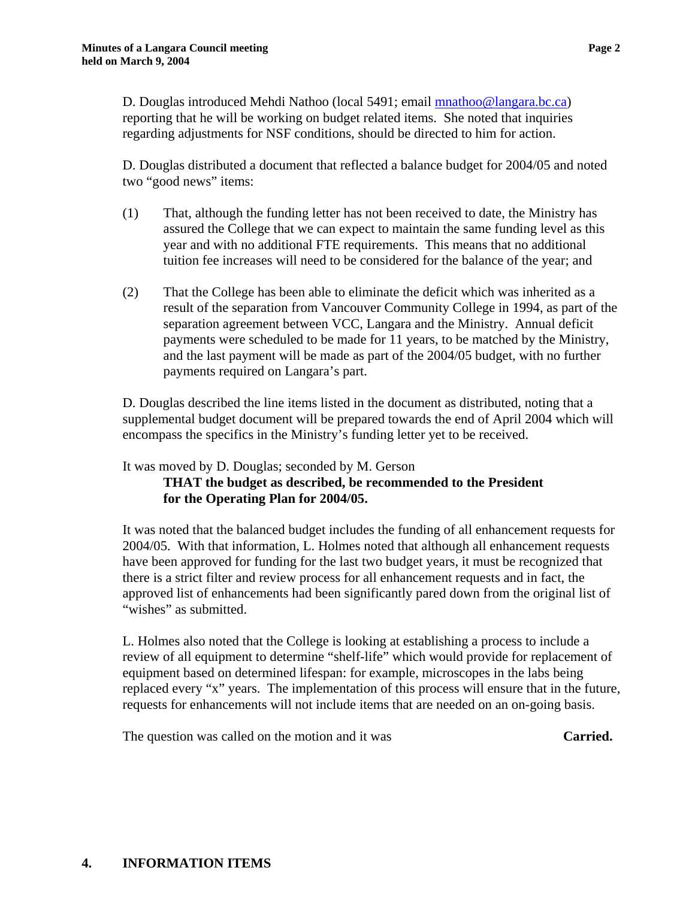D. Douglas introduced Mehdi Nathoo (local 5491; email [mnathoo@langara.bc.ca\)](mailto:mnathoo@langara.bc.ca) reporting that he will be working on budget related items. She noted that inquiries regarding adjustments for NSF conditions, should be directed to him for action.

D. Douglas distributed a document that reflected a balance budget for 2004/05 and noted two "good news" items:

- (1) That, although the funding letter has not been received to date, the Ministry has assured the College that we can expect to maintain the same funding level as this year and with no additional FTE requirements. This means that no additional tuition fee increases will need to be considered for the balance of the year; and
- (2) That the College has been able to eliminate the deficit which was inherited as a result of the separation from Vancouver Community College in 1994, as part of the separation agreement between VCC, Langara and the Ministry. Annual deficit payments were scheduled to be made for 11 years, to be matched by the Ministry, and the last payment will be made as part of the 2004/05 budget, with no further payments required on Langara's part.

D. Douglas described the line items listed in the document as distributed, noting that a supplemental budget document will be prepared towards the end of April 2004 which will encompass the specifics in the Ministry's funding letter yet to be received.

It was moved by D. Douglas; seconded by M. Gerson

**THAT the budget as described, be recommended to the President for the Operating Plan for 2004/05.** 

It was noted that the balanced budget includes the funding of all enhancement requests for 2004/05. With that information, L. Holmes noted that although all enhancement requests have been approved for funding for the last two budget years, it must be recognized that there is a strict filter and review process for all enhancement requests and in fact, the approved list of enhancements had been significantly pared down from the original list of "wishes" as submitted.

L. Holmes also noted that the College is looking at establishing a process to include a review of all equipment to determine "shelf-life" which would provide for replacement of equipment based on determined lifespan: for example, microscopes in the labs being replaced every "x" years. The implementation of this process will ensure that in the future, requests for enhancements will not include items that are needed on an on-going basis.

The question was called on the motion and it was **Carried. Carried.**